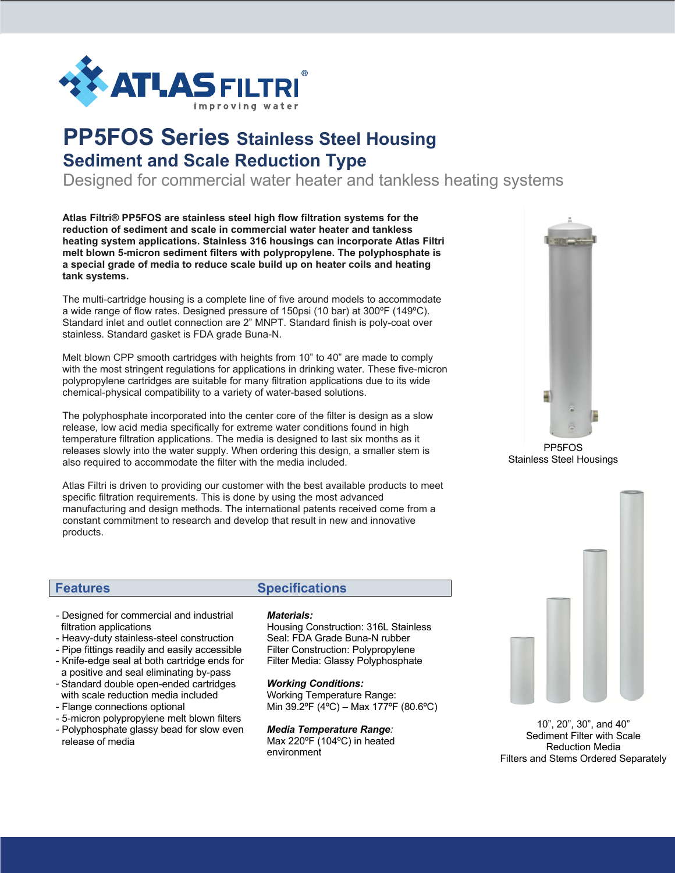

# **PP5FOS Series Stainless Steel Housing Sediment and Scale Reduction Type**

Designed for commercial water heater and tankless heating systems

**Atlas Filtri® PP5FOS are stainless steel high flow filtration systems for the reduction of sediment and scale in commercial water heater and tankless heating system applications. Stainless 316 housings can incorporate Atlas Filtri melt blown 5-micron sediment filters with polypropylene. The polyphosphate is a special grade of media to reduce scale build up on heater coils and heating tank systems.**

The multi-cartridge housing is a complete line of five around models to accommodate a wide range of flow rates. Designed pressure of 150psi (10 bar) at 300ºF (149ºC). Standard inlet and outlet connection are 2" MNPT. Standard finish is poly-coat over stainless. Standard gasket is FDA grade Buna-N.

Melt blown CPP smooth cartridges with heights from 10" to 40" are made to comply with the most stringent regulations for applications in drinking water. These five-micron polypropylene cartridges are suitable for many filtration applications due to its wide chemical-physical compatibility to a variety of water-based solutions.

The polyphosphate incorporated into the center core of the filter is design as a slow release, low acid media specifically for extreme water conditions found in high temperature filtration applications. The media is designed to last six months as it releases slowly into the water supply. When ordering this design, a smaller stem is also required to accommodate the filter with the media included.

Atlas Filtri is driven to providing our customer with the best available products to meet specific filtration requirements. This is done by using the most advanced manufacturing and design methods. The international patents received come from a constant commitment to research and develop that result in new and innovative products. Check out more about Atlas Filtri at www.atlasfiltri.com

PP5FOS Stainless Steel Housings

- Designed for commercial and industrial
- filtration applications - Heavy-duty stainless-steel construction
- Pipe fittings readily and easily accessible
- Knife-edge seal at both cartridge ends for
- Standard double open-ended cartridges a positive and seal eliminating by-pass
- with scale reduction media included
- Flange connections optional
- 5-micron polypropylene melt blown filters
- Polyphosphate glassy bead for slow even release of media

## **Features Specifications**

### *Materials:*

Housing Construction: 316L Stainless Seal: FDA Grade Buna-N rubber Filter Construction: Polypropylene Filter Media: Glassy Polyphosphate

### *Working Conditions:*

Working Temperature Range: Min 39.2ºF (4ºC) – Max 177ºF (80.6ºC)

### *Media Temperature Range:*

Max 220ºF (104ºC) in heated environment



10", 20", 30", and 40" Sediment Filter with Scale Reduction Media Filters and Stems Ordered Separately